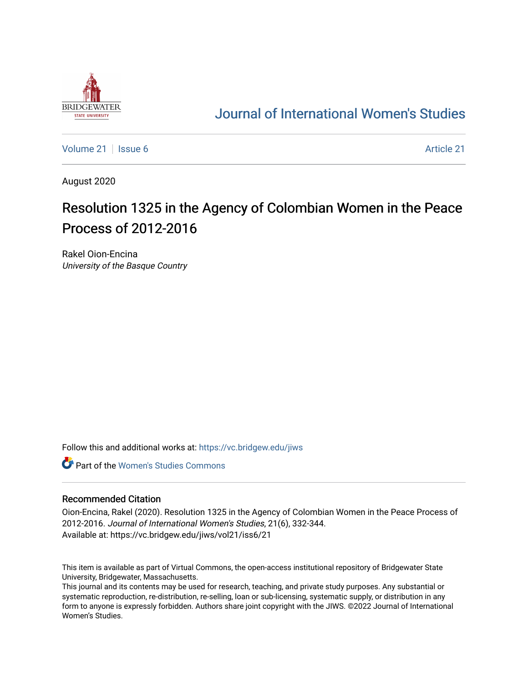

## [Journal of International Women's Studies](https://vc.bridgew.edu/jiws)

[Volume 21](https://vc.bridgew.edu/jiws/vol21) | [Issue 6](https://vc.bridgew.edu/jiws/vol21/iss6) [Article 21](https://vc.bridgew.edu/jiws/vol21/iss6/21) | Issue 6 Article 21 | Issue 6 Article 21 | Issue 6 Article 21 | Issue 6 Article 21 | Issue 6 Article 21 | Issue 6 Article 21 | Issue 6 Article 21 | Issue 6 Article 21 | Issue 6 Article 21 |

August 2020

# Resolution 1325 in the Agency of Colombian Women in the Peace Process of 2012-2016

Rakel Oion-Encina University of the Basque Country

Follow this and additional works at: [https://vc.bridgew.edu/jiws](https://vc.bridgew.edu/jiws?utm_source=vc.bridgew.edu%2Fjiws%2Fvol21%2Fiss6%2F21&utm_medium=PDF&utm_campaign=PDFCoverPages)

**C** Part of the Women's Studies Commons

#### Recommended Citation

Oion-Encina, Rakel (2020). Resolution 1325 in the Agency of Colombian Women in the Peace Process of 2012-2016. Journal of International Women's Studies, 21(6), 332-344. Available at: https://vc.bridgew.edu/jiws/vol21/iss6/21

This item is available as part of Virtual Commons, the open-access institutional repository of Bridgewater State University, Bridgewater, Massachusetts.

This journal and its contents may be used for research, teaching, and private study purposes. Any substantial or systematic reproduction, re-distribution, re-selling, loan or sub-licensing, systematic supply, or distribution in any form to anyone is expressly forbidden. Authors share joint copyright with the JIWS. ©2022 Journal of International Women's Studies.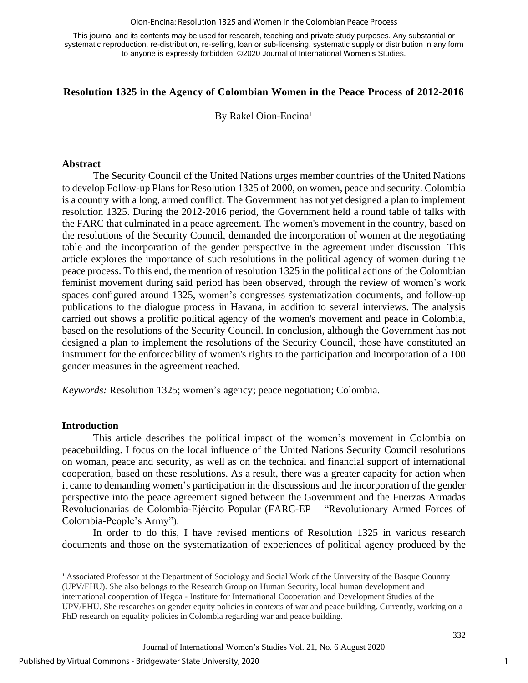#### Oion-Encina: Resolution 1325 and Women in the Colombian Peace Process

This journal and its contents may be used for research, teaching and private study purposes. Any substantial or systematic reproduction, re-distribution, re-selling, loan or sub-licensing, systematic supply or distribution in any form to anyone is expressly forbidden. ©2020 Journal of International Women's Studies.

## **Resolution 1325 in the Agency of Colombian Women in the Peace Process of 2012-2016**

By Rakel Oion-Encina<sup>1</sup>

#### **Abstract**

The Security Council of the United Nations urges member countries of the United Nations to develop Follow-up Plans for Resolution 1325 of 2000, on women, peace and security. Colombia is a country with a long, armed conflict. The Government has not yet designed a plan to implement resolution 1325. During the 2012-2016 period, the Government held a round table of talks with the FARC that culminated in a peace agreement. The women's movement in the country, based on the resolutions of the Security Council, demanded the incorporation of women at the negotiating table and the incorporation of the gender perspective in the agreement under discussion. This article explores the importance of such resolutions in the political agency of women during the peace process. To this end, the mention of resolution 1325 in the political actions of the Colombian feminist movement during said period has been observed, through the review of women's work spaces configured around 1325, women's congresses systematization documents, and follow-up publications to the dialogue process in Havana, in addition to several interviews. The analysis carried out shows a prolific political agency of the women's movement and peace in Colombia, based on the resolutions of the Security Council. In conclusion, although the Government has not designed a plan to implement the resolutions of the Security Council, those have constituted an instrument for the enforceability of women's rights to the participation and incorporation of a 100 gender measures in the agreement reached.

*Keywords:* Resolution 1325; women's agency; peace negotiation; Colombia.

#### **Introduction**

This article describes the political impact of the women's movement in Colombia on peacebuilding. I focus on the local influence of the United Nations Security Council resolutions on woman, peace and security, as well as on the technical and financial support of international cooperation, based on these resolutions. As a result, there was a greater capacity for action when it came to demanding women's participation in the discussions and the incorporation of the gender perspective into the peace agreement signed between the Government and the Fuerzas Armadas Revolucionarias de Colombia-Ejército Popular (FARC-EP – "Revolutionary Armed Forces of Colombia-People's Army").

In order to do this, I have revised mentions of Resolution 1325 in various research documents and those on the systematization of experiences of political agency produced by the

*<sup>1</sup>* Associated Professor at the Department of Sociology and Social Work of the University of the Basque Country (UPV/EHU). She also belongs to the Research Group on Human Security, local human development and international cooperation of Hegoa - Institute for International Cooperation and Development Studies of the UPV/EHU. She researches on gender equity policies in contexts of war and peace building. Currently, working on a PhD research on equality policies in Colombia regarding war and peace building.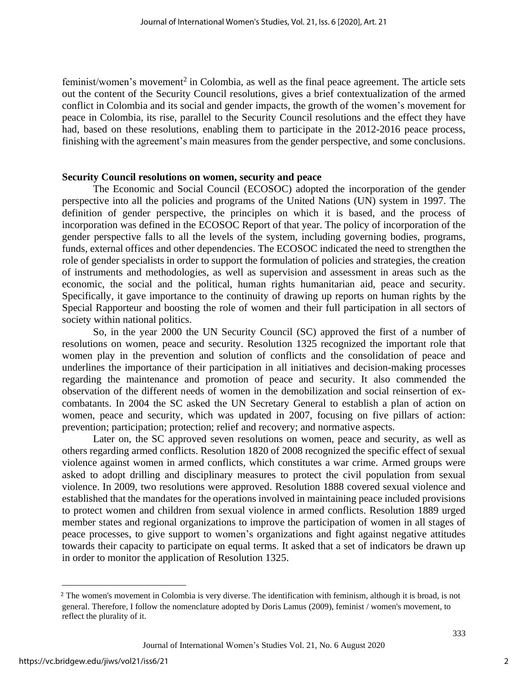feminist/women's movement<sup>2</sup> in Colombia, as well as the final peace agreement. The article sets out the content of the Security Council resolutions, gives a brief contextualization of the armed conflict in Colombia and its social and gender impacts, the growth of the women's movement for peace in Colombia, its rise, parallel to the Security Council resolutions and the effect they have had, based on these resolutions, enabling them to participate in the 2012-2016 peace process, finishing with the agreement's main measures from the gender perspective, and some conclusions.

## **Security Council resolutions on women, security and peace**

The Economic and Social Council (ECOSOC) adopted the incorporation of the gender perspective into all the policies and programs of the United Nations (UN) system in 1997. The definition of gender perspective, the principles on which it is based, and the process of incorporation was defined in the ECOSOC Report of that year. The policy of incorporation of the gender perspective falls to all the levels of the system, including governing bodies, programs, funds, external offices and other dependencies. The ECOSOC indicated the need to strengthen the role of gender specialists in order to support the formulation of policies and strategies, the creation of instruments and methodologies, as well as supervision and assessment in areas such as the economic, the social and the political, human rights humanitarian aid, peace and security. Specifically, it gave importance to the continuity of drawing up reports on human rights by the Special Rapporteur and boosting the role of women and their full participation in all sectors of society within national politics.

So, in the year 2000 the UN Security Council (SC) approved the first of a number of resolutions on women, peace and security. Resolution 1325 recognized the important role that women play in the prevention and solution of conflicts and the consolidation of peace and underlines the importance of their participation in all initiatives and decision-making processes regarding the maintenance and promotion of peace and security. It also commended the observation of the different needs of women in the demobilization and social reinsertion of excombatants. In 2004 the SC asked the UN Secretary General to establish a plan of action on women, peace and security, which was updated in 2007, focusing on five pillars of action: prevention; participation; protection; relief and recovery; and normative aspects.

Later on, the SC approved seven resolutions on women, peace and security, as well as others regarding armed conflicts. Resolution 1820 of 2008 recognized the specific effect of sexual violence against women in armed conflicts, which constitutes a war crime. Armed groups were asked to adopt drilling and disciplinary measures to protect the civil population from sexual violence. In 2009, two resolutions were approved. Resolution 1888 covered sexual violence and established that the mandates for the operations involved in maintaining peace included provisions to protect women and children from sexual violence in armed conflicts. Resolution 1889 urged member states and regional organizations to improve the participation of women in all stages of peace processes, to give support to women's organizations and fight against negative attitudes towards their capacity to participate on equal terms. It asked that a set of indicators be drawn up in order to monitor the application of Resolution 1325.

<sup>2</sup> The women's movement in Colombia is very diverse. The identification with feminism, although it is broad, is not general. Therefore, I follow the nomenclature adopted by Doris Lamus (2009), feminist / women's movement, to reflect the plurality of it.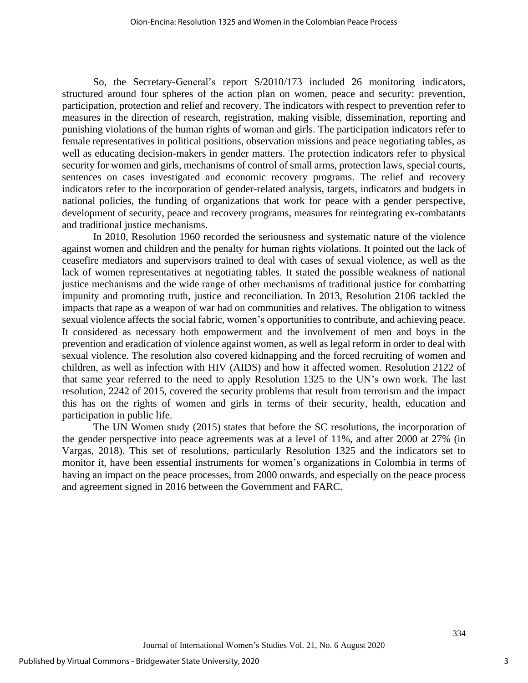So, the Secretary-General's report S/2010/173 included 26 monitoring indicators, structured around four spheres of the action plan on women, peace and security: prevention, participation, protection and relief and recovery. The indicators with respect to prevention refer to measures in the direction of research, registration, making visible, dissemination, reporting and punishing violations of the human rights of woman and girls. The participation indicators refer to female representatives in political positions, observation missions and peace negotiating tables, as well as educating decision-makers in gender matters. The protection indicators refer to physical security for women and girls, mechanisms of control of small arms, protection laws, special courts, sentences on cases investigated and economic recovery programs. The relief and recovery indicators refer to the incorporation of gender-related analysis, targets, indicators and budgets in national policies, the funding of organizations that work for peace with a gender perspective, development of security, peace and recovery programs, measures for reintegrating ex-combatants and traditional justice mechanisms.

In 2010, Resolution 1960 recorded the seriousness and systematic nature of the violence against women and children and the penalty for human rights violations. It pointed out the lack of ceasefire mediators and supervisors trained to deal with cases of sexual violence, as well as the lack of women representatives at negotiating tables. It stated the possible weakness of national justice mechanisms and the wide range of other mechanisms of traditional justice for combatting impunity and promoting truth, justice and reconciliation. In 2013, Resolution 2106 tackled the impacts that rape as a weapon of war had on communities and relatives. The obligation to witness sexual violence affects the social fabric, women's opportunities to contribute, and achieving peace. It considered as necessary both empowerment and the involvement of men and boys in the prevention and eradication of violence against women, as well as legal reform in order to deal with sexual violence. The resolution also covered kidnapping and the forced recruiting of women and children, as well as infection with HIV (AIDS) and how it affected women. Resolution 2122 of that same year referred to the need to apply Resolution 1325 to the UN's own work. The last resolution, 2242 of 2015, covered the security problems that result from terrorism and the impact this has on the rights of women and girls in terms of their security, health, education and participation in public life.

The UN Women study (2015) states that before the SC resolutions, the incorporation of the gender perspective into peace agreements was at a level of 11%, and after 2000 at 27% (in Vargas, 2018). This set of resolutions, particularly Resolution 1325 and the indicators set to monitor it, have been essential instruments for women's organizations in Colombia in terms of having an impact on the peace processes, from 2000 onwards, and especially on the peace process and agreement signed in 2016 between the Government and FARC.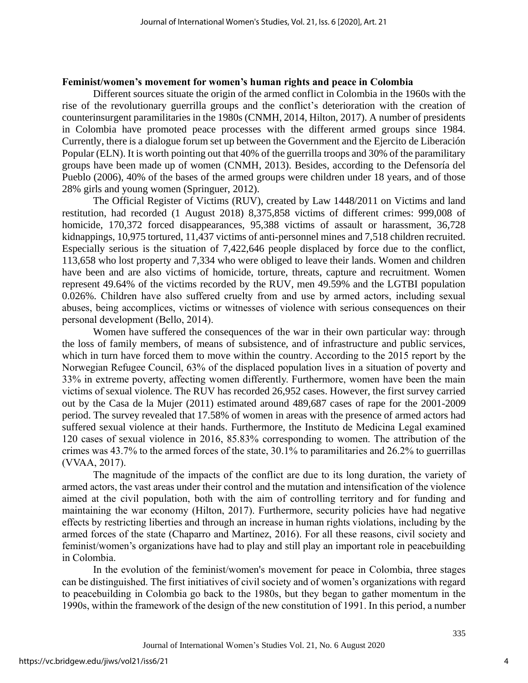## **Feminist/women's movement for women's human rights and peace in Colombia**

Different sources situate the origin of the armed conflict in Colombia in the 1960s with the rise of the revolutionary guerrilla groups and the conflict's deterioration with the creation of counterinsurgent paramilitaries in the 1980s (CNMH, 2014, Hilton, 2017). A number of presidents in Colombia have promoted peace processes with the different armed groups since 1984. Currently, there is a dialogue forum set up between the Government and the Ejercito de Liberación Popular (ELN). It is worth pointing out that 40% of the guerrilla troops and 30% of the paramilitary groups have been made up of women (CNMH, 2013). Besides, according to the Defensoría del Pueblo (2006), 40% of the bases of the armed groups were children under 18 years, and of those 28% girls and young women (Springuer, 2012).

The Official Register of Victims (RUV), created by Law 1448/2011 on Victims and land restitution, had recorded (1 August 2018) 8,375,858 victims of different crimes: 999,008 of homicide, 170,372 forced disappearances, 95,388 victims of assault or harassment, 36,728 kidnappings, 10,975 tortured, 11,437 victims of anti-personnel mines and 7,518 children recruited. Especially serious is the situation of 7,422,646 people displaced by force due to the conflict, 113,658 who lost property and 7,334 who were obliged to leave their lands. Women and children have been and are also victims of homicide, torture, threats, capture and recruitment. Women represent 49.64% of the victims recorded by the RUV, men 49.59% and the LGTBI population 0.026%. Children have also suffered cruelty from and use by armed actors, including sexual abuses, being accomplices, victims or witnesses of violence with serious consequences on their personal development (Bello, 2014).

Women have suffered the consequences of the war in their own particular way: through the loss of family members, of means of subsistence, and of infrastructure and public services, which in turn have forced them to move within the country. According to the 2015 report by the Norwegian Refugee Council, 63% of the displaced population lives in a situation of poverty and 33% in extreme poverty, affecting women differently. Furthermore, women have been the main victims of sexual violence. The RUV has recorded 26,952 cases. However, the first survey carried out by the Casa de la Mujer (2011) estimated around 489,687 cases of rape for the 2001-2009 period. The survey revealed that 17.58% of women in areas with the presence of armed actors had suffered sexual violence at their hands. Furthermore, the Instituto de Medicina Legal examined 120 cases of sexual violence in 2016, 85.83% corresponding to women. The attribution of the crimes was 43.7% to the armed forces of the state, 30.1% to paramilitaries and 26.2% to guerrillas (VVAA, 2017).

The magnitude of the impacts of the conflict are due to its long duration, the variety of armed actors, the vast areas under their control and the mutation and intensification of the violence aimed at the civil population, both with the aim of controlling territory and for funding and maintaining the war economy (Hilton, 2017). Furthermore, security policies have had negative effects by restricting liberties and through an increase in human rights violations, including by the armed forces of the state (Chaparro and Martínez, 2016). For all these reasons, civil society and feminist/women's organizations have had to play and still play an important role in peacebuilding in Colombia.

In the evolution of the feminist/women's movement for peace in Colombia, three stages can be distinguished. The first initiatives of civil society and of women's organizations with regard to peacebuilding in Colombia go back to the 1980s, but they began to gather momentum in the 1990s, within the framework of the design of the new constitution of 1991. In this period, a number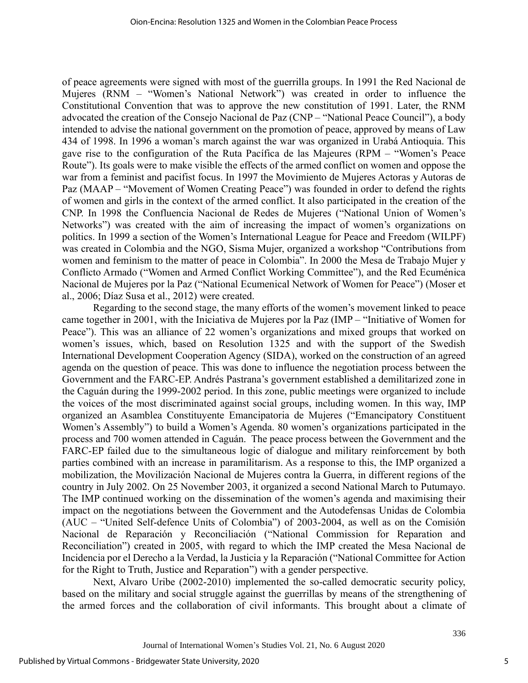of peace agreements were signed with most of the guerrilla groups. In 1991 the Red Nacional de Mujeres (RNM – "Women's National Network") was created in order to influence the Constitutional Convention that was to approve the new constitution of 1991. Later, the RNM advocated the creation of the Consejo Nacional de Paz (CNP – "National Peace Council"), a body intended to advise the national government on the promotion of peace, approved by means of Law 434 of 1998. In 1996 a woman's march against the war was organized in Urabá Antioquia. This gave rise to the configuration of the Ruta Pacífica de las Majeures (RPM – "Women's Peace Route"). Its goals were to make visible the effects of the armed conflict on women and oppose the war from a feminist and pacifist focus. In 1997 the Movimiento de Mujeres Actoras y Autoras de Paz (MAAP – "Movement of Women Creating Peace") was founded in order to defend the rights of women and girls in the context of the armed conflict. It also participated in the creation of the CNP. In 1998 the Confluencia Nacional de Redes de Mujeres ("National Union of Women's Networks") was created with the aim of increasing the impact of women's organizations on politics. In 1999 a section of the Women's International League for Peace and Freedom (WILPF) was created in Colombia and the NGO, Sisma Mujer, organized a workshop "Contributions from women and feminism to the matter of peace in Colombia". In 2000 the Mesa de Trabajo Mujer y Conflicto Armado ("Women and Armed Conflict Working Committee"), and the Red Ecuménica Nacional de Mujeres por la Paz ("National Ecumenical Network of Women for Peace") (Moser et al., 2006; Díaz Susa et al., 2012) were created.

Regarding to the second stage, the many efforts of the women's movement linked to peace came together in 2001, with the Iniciativa de Mujeres por la Paz (IMP – "Initiative of Women for Peace"). This was an alliance of 22 women's organizations and mixed groups that worked on women's issues, which, based on Resolution 1325 and with the support of the Swedish International Development Cooperation Agency (SIDA), worked on the construction of an agreed agenda on the question of peace. This was done to influence the negotiation process between the Government and the FARC-EP. Andrés Pastrana's government established a demilitarized zone in the Caguán during the 1999-2002 period. In this zone, public meetings were organized to include the voices of the most discriminated against social groups, including women. In this way, IMP organized an Asamblea Constituyente Emancipatoria de Mujeres ("Emancipatory Constituent Women's Assembly") to build a Women's Agenda. 80 women's organizations participated in the process and 700 women attended in Caguán. The peace process between the Government and the FARC-EP failed due to the simultaneous logic of dialogue and military reinforcement by both parties combined with an increase in paramilitarism. As a response to this, the IMP organized a mobilization, the Movilización Nacional de Mujeres contra la Guerra, in different regions of the country in July 2002. On 25 November 2003, it organized a second National March to Putumayo. The IMP continued working on the dissemination of the women's agenda and maximising their impact on the negotiations between the Government and the Autodefensas Unidas de Colombia (AUC – "United Self-defence Units of Colombia") of 2003-2004, as well as on the Comisión Nacional de Reparación y Reconciliación ("National Commission for Reparation and Reconciliation") created in 2005, with regard to which the IMP created the Mesa Nacional de Incidencia por el Derecho a la Verdad, la Justicia y la Reparación ("National Committee for Action for the Right to Truth, Justice and Reparation") with a gender perspective.

Next, Alvaro Uribe (2002-2010) implemented the so-called democratic security policy, based on the military and social struggle against the guerrillas by means of the strengthening of the armed forces and the collaboration of civil informants. This brought about a climate of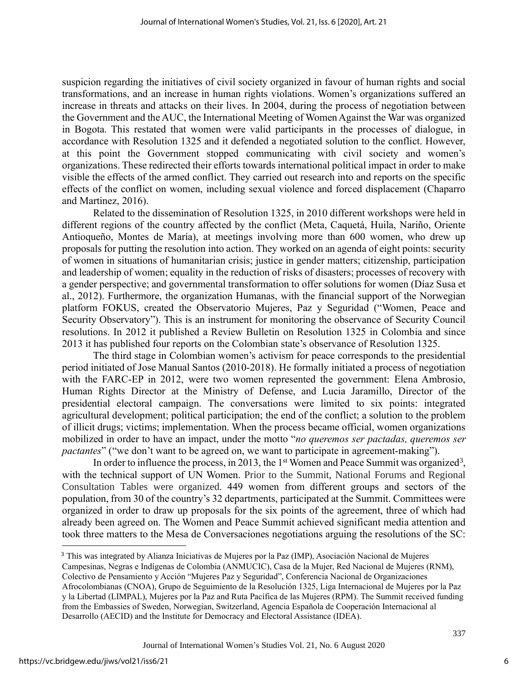suspicion regarding the initiatives of civil society organized in favour of human rights and social transformations, and an increase in human rights violations. Women's organizations suffered an increase in threats and attacks on their lives. In 2004, during the process of negotiation between the Government and theAUC, the International Meeting of Women Against the War was organized in Bogota. This restated that women were valid participants in the processes of dialogue, in accordance with Resolution 1325 and it defended a negotiated solution to the conflict. However, at this point the Government stopped communicating with civil society and women's organizations. These redirected their efforts towards international political impact in order to make visible the effects of the armed conflict. They carried out research into and reports on the specific effects of the conflict on women, including sexual violence and forced displacement (Chaparro and Martinez, 2016).

Related to the dissemination of Resolution 1325, in 2010 different workshops were held in different regions of the country affected by the conflict (Meta, Caquetá, Huila, Nariño, Oriente Antioqueño, Montes de María), at meetings involving more than 600 women, who drew up proposals for putting the resolution into action. They worked on an agenda of eight points: security of women in situations of humanitarian crisis; justice in gender matters; citizenship, participation and leadership of women; equality in the reduction of risks of disasters; processes of recovery with a gender perspective; and governmental transformation to offer solutions for women (Díaz Susa et al., 2012). Furthermore, the organization Humanas, with the financial support of the Norwegian platform FOKUS, created the Observatorio Mujeres, Paz y Seguridad ("Women, Peace and Security Observatory"). This is an instrument for monitoring the observance of Security Council resolutions. In 2012 it published a Review Bulletin on Resolution 1325 in Colombia and since 2013 it has published four reports on the Colombian state's observance of Resolution 1325.

The third stage in Colombian women's activism for peace corresponds to the presidential period initiated of Jose Manual Santos (2010-2018). He formally initiated a process of negotiation with the FARC-EP in 2012, were two women represented the government: Elena Ambrosio, Human Rights Director at the Ministry of Defense, and Lucia Jaramillo, Director of the presidential electoral campaign. The conversations were limited to six points: integrated agricultural development; political participation; the end of the conflict; a solution to the problem of illicit drugs; victims; implementation. When the process became official, women organizations mobilized in order to have an impact, under the motto "*no queremos ser pactadas, queremos ser pactantes*" ("we don't want to be agreed on, we want to participate in agreement-making").

In order to influence the process, in 2013, the 1<sup>st</sup> Women and Peace Summit was organized<sup>3</sup>, with the technical support of UN Women. Prior to the Summit, National Forums and Regional Consultation Tables were organized. 449 women from different groups and sectors of the population, from 30 of the country's 32 departments, participated at the Summit. Committees were organized in order to draw up proposals for the six points of the agreement, three of which had already been agreed on. The Women and Peace Summit achieved significant media attention and took three matters to the Mesa de Conversaciones negotiations arguing the resolutions of the SC:

<sup>3</sup> This was integrated by Alianza Iniciativas de Mujeres por la Paz (IMP), Asociación Nacional de Mujeres Campesinas, Negras e Indígenas de Colombia (ANMUCIC), Casa de la Mujer, Red Nacional de Mujeres (RNM),

Colectivo de Pensamiento y Acción "Mujeres Paz y Seguridad", Conferencia Nacional de Organizaciones Afrocolombianas (CNOA), Grupo de Seguimiento de la Resolución 1325, Liga Internacional de Mujeres por la Paz y la Libertad (LIMPAL), Mujeres por la Paz and Ruta Pacífica de las Mujeres (RPM). The Summit received funding from the Embassies of Sweden, Norwegian, Switzerland, Agencia Española de Cooperación Internacional al Desarrollo (AECID) and the Institute for Democracy and Electoral Assistance (IDEA).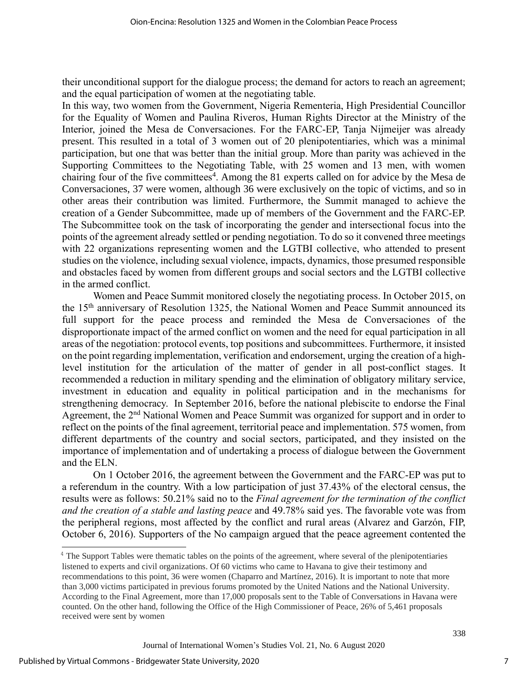their unconditional support for the dialogue process; the demand for actors to reach an agreement; and the equal participation of women at the negotiating table.

In this way, two women from the Government, Nigeria Rementeria, High Presidential Councillor for the Equality of Women and Paulina Riveros, Human Rights Director at the Ministry of the Interior, joined the Mesa de Conversaciones. For the FARC-EP, Tanja Nijmeijer was already present. This resulted in a total of 3 women out of 20 plenipotentiaries, which was a minimal participation, but one that was better than the initial group. More than parity was achieved in the Supporting Committees to the Negotiating Table, with 25 women and 13 men, with women chairing four of the five committees<sup>4</sup>. Among the 81 experts called on for advice by the Mesa de Conversaciones, 37 were women, although 36 were exclusively on the topic of victims, and so in other areas their contribution was limited. Furthermore, the Summit managed to achieve the creation of a Gender Subcommittee, made up of members of the Government and the FARC-EP. The Subcommittee took on the task of incorporating the gender and intersectional focus into the points of the agreement already settled or pending negotiation. To do so it convened three meetings with 22 organizations representing women and the LGTBI collective, who attended to present studies on the violence, including sexual violence, impacts, dynamics, those presumed responsible and obstacles faced by women from different groups and social sectors and the LGTBI collective in the armed conflict.

Women and Peace Summit monitored closely the negotiating process. In October 2015, on the 15th anniversary of Resolution 1325, the National Women and Peace Summit announced its full support for the peace process and reminded the Mesa de Conversaciones of the disproportionate impact of the armed conflict on women and the need for equal participation in all areas of the negotiation: protocol events, top positions and subcommittees. Furthermore, it insisted on the point regarding implementation, verification and endorsement, urging the creation of a highlevel institution for the articulation of the matter of gender in all post-conflict stages. It recommended a reduction in military spending and the elimination of obligatory military service, investment in education and equality in political participation and in the mechanisms for strengthening democracy. In September 2016, before the national plebiscite to endorse the Final Agreement, the 2<sup>nd</sup> National Women and Peace Summit was organized for support and in order to reflect on the points of the final agreement, territorial peace and implementation. 575 women, from different departments of the country and social sectors, participated, and they insisted on the importance of implementation and of undertaking a process of dialogue between the Government and the ELN.

On 1 October 2016, the agreement between the Government and the FARC-EP was put to a referendum in the country. With a low participation of just 37.43% of the electoral census, the results were as follows: 50.21% said no to the *Final agreement for the termination of the conflict and the creation of a stable and lasting peace* and 49.78% said yes. The favorable vote was from the peripheral regions, most affected by the conflict and rural areas (Alvarez and Garzón, FIP, October 6, 2016). Supporters of the No campaign argued that the peace agreement contented the

<sup>&</sup>lt;sup>4</sup> The Support Tables were thematic tables on the points of the agreement, where several of the plenipotentiaries listened to experts and civil organizations. Of 60 victims who came to Havana to give their testimony and recommendations to this point, 36 were women (Chaparro and Martínez, 2016). It is important to note that more than 3,000 victims participated in previous forums promoted by the United Nations and the National University. According to the Final Agreement, more than 17,000 proposals sent to the Table of Conversations in Havana were counted. On the other hand, following the Office of the High Commissioner of Peace, 26% of 5,461 proposals received were sent by women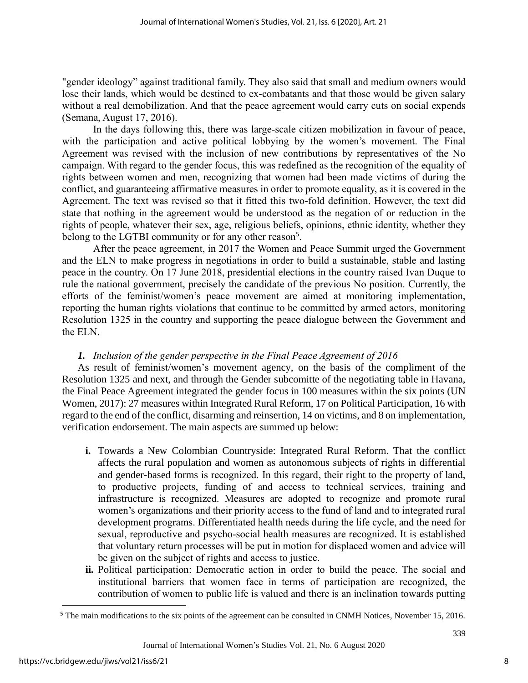"gender ideology" against traditional family. They also said that small and medium owners would lose their lands, which would be destined to ex-combatants and that those would be given salary without a real demobilization. And that the peace agreement would carry cuts on social expends (Semana, August 17, 2016).

In the days following this, there was large-scale citizen mobilization in favour of peace, with the participation and active political lobbying by the women's movement. The Final Agreement was revised with the inclusion of new contributions by representatives of the No campaign. With regard to the gender focus, this was redefined as the recognition of the equality of rights between women and men, recognizing that women had been made victims of during the conflict, and guaranteeing affirmative measures in order to promote equality, as it is covered in the Agreement. The text was revised so that it fitted this two-fold definition. However, the text did state that nothing in the agreement would be understood as the negation of or reduction in the rights of people, whatever their sex, age, religious beliefs, opinions, ethnic identity, whether they belong to the LGTBI community or for any other reason<sup>5</sup>.

After the peace agreement, in 2017 the Women and Peace Summit urged the Government and the ELN to make progress in negotiations in order to build a sustainable, stable and lasting peace in the country. On 17 June 2018, presidential elections in the country raised Ivan Duque to rule the national government, precisely the candidate of the previous No position. Currently, the efforts of the feminist/women's peace movement are aimed at monitoring implementation, reporting the human rights violations that continue to be committed by armed actors, monitoring Resolution 1325 in the country and supporting the peace dialogue between the Government and the ELN.

## *1. Inclusion of the gender perspective in the Final Peace Agreement of 2016*

As result of feminist/women's movement agency, on the basis of the compliment of the Resolution 1325 and next, and through the Gender subcomitte of the negotiating table in Havana, the Final Peace Agreement integrated the gender focus in 100 measures within the six points (UN Women, 2017): 27 measures within Integrated Rural Reform, 17 on Political Participation, 16 with regard to the end of the conflict, disarming and reinsertion, 14 on victims, and 8 on implementation, verification endorsement. The main aspects are summed up below:

- **i.** Towards a New Colombian Countryside: Integrated Rural Reform. That the conflict affects the rural population and women as autonomous subjects of rights in differential and gender-based forms is recognized. In this regard, their right to the property of land, to productive projects, funding of and access to technical services, training and infrastructure is recognized. Measures are adopted to recognize and promote rural women's organizations and their priority access to the fund of land and to integrated rural development programs. Differentiated health needs during the life cycle, and the need for sexual, reproductive and psycho-social health measures are recognized. It is established that voluntary return processes will be put in motion for displaced women and advice will be given on the subject of rights and access to justice.
- **ii.** Political participation: Democratic action in order to build the peace. The social and institutional barriers that women face in terms of participation are recognized, the contribution of women to public life is valued and there is an inclination towards putting

<sup>&</sup>lt;sup>5</sup> The main modifications to the six points of the agreement can be consulted in CNMH Notices, November 15, 2016.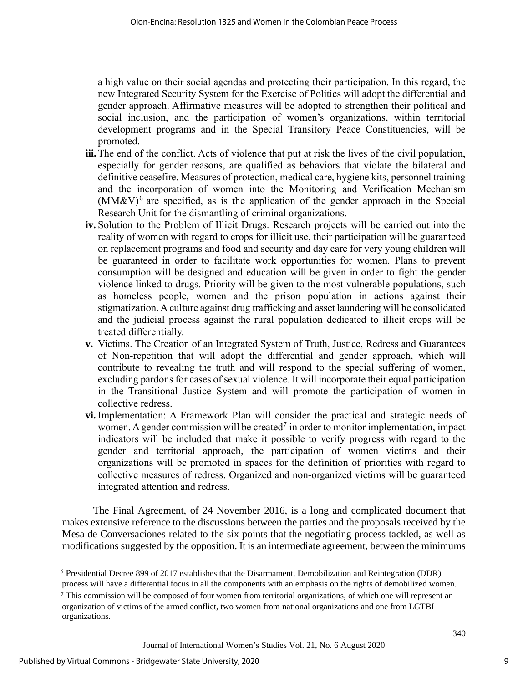a high value on their social agendas and protecting their participation. In this regard, the new Integrated Security System for the Exercise of Politics will adopt the differential and gender approach. Affirmative measures will be adopted to strengthen their political and social inclusion, and the participation of women's organizations, within territorial development programs and in the Special Transitory Peace Constituencies, will be promoted.

- **iii.**The end of the conflict. Acts of violence that put at risk the lives of the civil population, especially for gender reasons, are qualified as behaviors that violate the bilateral and definitive ceasefire. Measures of protection, medical care, hygiene kits, personnel training and the incorporation of women into the Monitoring and Verification Mechanism  $(MM&V)^6$  are specified, as is the application of the gender approach in the Special Research Unit for the dismantling of criminal organizations.
- **iv.** Solution to the Problem of Illicit Drugs. Research projects will be carried out into the reality of women with regard to crops for illicit use, their participation will be guaranteed on replacement programs and food and security and day care for very young children will be guaranteed in order to facilitate work opportunities for women. Plans to prevent consumption will be designed and education will be given in order to fight the gender violence linked to drugs. Priority will be given to the most vulnerable populations, such as homeless people, women and the prison population in actions against their stigmatization. A culture against drug trafficking and asset laundering will be consolidated and the judicial process against the rural population dedicated to illicit crops will be treated differentially.
- **v.** Victims. The Creation of an Integrated System of Truth, Justice, Redress and Guarantees of Non-repetition that will adopt the differential and gender approach, which will contribute to revealing the truth and will respond to the special suffering of women, excluding pardons for cases of sexual violence. It will incorporate their equal participation in the Transitional Justice System and will promote the participation of women in collective redress.
- **vi.** Implementation: A Framework Plan will consider the practical and strategic needs of women. A gender commission will be created<sup>7</sup> in order to monitor implementation, impact indicators will be included that make it possible to verify progress with regard to the gender and territorial approach, the participation of women victims and their organizations will be promoted in spaces for the definition of priorities with regard to collective measures of redress. Organized and non-organized victims will be guaranteed integrated attention and redress.

The Final Agreement, of 24 November 2016, is a long and complicated document that makes extensive reference to the discussions between the parties and the proposals received by the Mesa de Conversaciones related to the six points that the negotiating process tackled, as well as modifications suggested by the opposition. It is an intermediate agreement, between the minimums

<sup>6</sup> Presidential Decree 899 of 2017 establishes that the Disarmament, Demobilization and Reintegration (DDR)

process will have a differential focus in all the components with an emphasis on the rights of demobilized women.

<sup>7</sup> This commission will be composed of four women from territorial organizations, of which one will represent an organization of victims of the armed conflict, two women from national organizations and one from LGTBI organizations.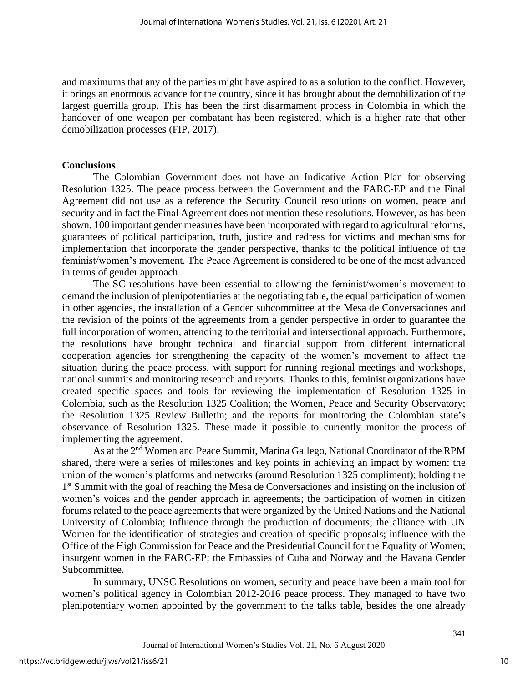and maximums that any of the parties might have aspired to as a solution to the conflict. However, it brings an enormous advance for the country, since it has brought about the demobilization of the largest guerrilla group. This has been the first disarmament process in Colombia in which the handover of one weapon per combatant has been registered, which is a higher rate that other demobilization processes (FIP, 2017).

## **Conclusions**

The Colombian Government does not have an Indicative Action Plan for observing Resolution 1325. The peace process between the Government and the FARC-EP and the Final Agreement did not use as a reference the Security Council resolutions on women, peace and security and in fact the Final Agreement does not mention these resolutions. However, as has been shown, 100 important gender measures have been incorporated with regard to agricultural reforms, guarantees of political participation, truth, justice and redress for victims and mechanisms for implementation that incorporate the gender perspective, thanks to the political influence of the feminist/women's movement. The Peace Agreement is considered to be one of the most advanced in terms of gender approach.

The SC resolutions have been essential to allowing the feminist/women's movement to demand the inclusion of plenipotentiaries at the negotiating table, the equal participation of women in other agencies, the installation of a Gender subcommittee at the Mesa de Conversaciones and the revision of the points of the agreements from a gender perspective in order to guarantee the full incorporation of women, attending to the territorial and intersectional approach. Furthermore, the resolutions have brought technical and financial support from different international cooperation agencies for strengthening the capacity of the women's movement to affect the situation during the peace process, with support for running regional meetings and workshops, national summits and monitoring research and reports. Thanks to this, feminist organizations have created specific spaces and tools for reviewing the implementation of Resolution 1325 in Colombia, such as the Resolution 1325 Coalition; the Women, Peace and Security Observatory; the Resolution 1325 Review Bulletin; and the reports for monitoring the Colombian state's observance of Resolution 1325. These made it possible to currently monitor the process of implementing the agreement.

As at the 2<sup>nd</sup> Women and Peace Summit, Marina Gallego, National Coordinator of the RPM shared, there were a series of milestones and key points in achieving an impact by women: the union of the women's platforms and networks (around Resolution 1325 compliment); holding the 1<sup>st</sup> Summit with the goal of reaching the Mesa de Conversaciones and insisting on the inclusion of women's voices and the gender approach in agreements; the participation of women in citizen forums related to the peace agreements that were organized by the United Nations and the National University of Colombia; Influence through the production of documents; the alliance with UN Women for the identification of strategies and creation of specific proposals; influence with the Office of the High Commission for Peace and the Presidential Council for the Equality of Women; insurgent women in the FARC-EP; the Embassies of Cuba and Norway and the Havana Gender Subcommittee.

In summary, UNSC Resolutions on women, security and peace have been a main tool for women's political agency in Colombian 2012-2016 peace process. They managed to have two plenipotentiary women appointed by the government to the talks table, besides the one already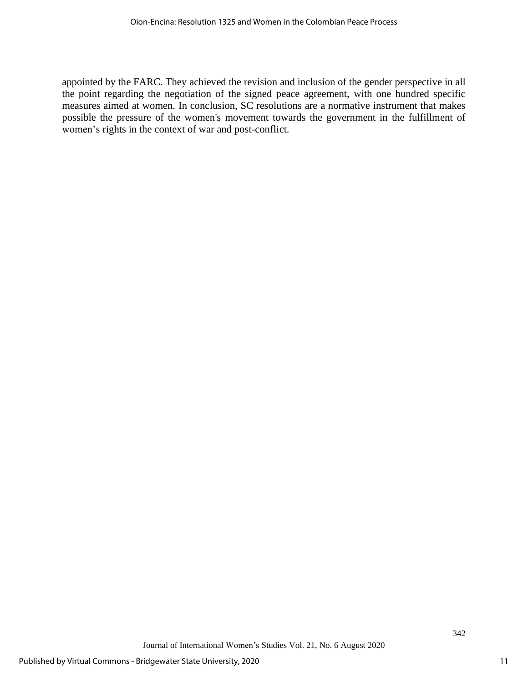appointed by the FARC. They achieved the revision and inclusion of the gender perspective in all the point regarding the negotiation of the signed peace agreement, with one hundred specific measures aimed at women. In conclusion, SC resolutions are a normative instrument that makes possible the pressure of the women's movement towards the government in the fulfillment of women's rights in the context of war and post-conflict.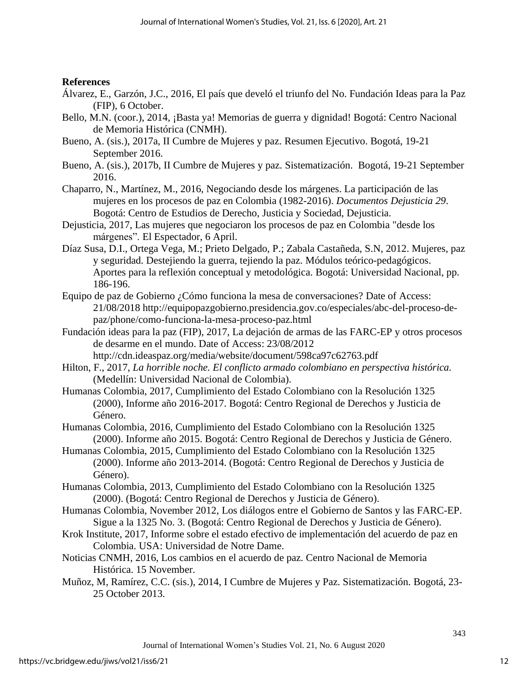## **References**

- Álvarez, E., Garzón, J.C., 2016, El país que develó el triunfo del No. Fundación Ideas para la Paz (FIP), 6 October.
- Bello, M.N. (coor.), 2014, ¡Basta ya! Memorias de guerra y dignidad! Bogotá: Centro Nacional de Memoria Histórica (CNMH).
- Bueno, A. (sis.), 2017a, II Cumbre de Mujeres y paz. Resumen Ejecutivo. Bogotá, 19-21 September 2016.
- Bueno, A. (sis.), 2017b, II Cumbre de Mujeres y paz. Sistematización. Bogotá, 19-21 September 2016.
- Chaparro, N., Martínez, M., 2016, Negociando desde los márgenes. La participación de las mujeres en los procesos de paz en Colombia (1982-2016). *Documentos Dejusticia 29*. Bogotá: Centro de Estudios de Derecho, Justicia y Sociedad, Dejusticia.
- Dejusticia, 2017, Las mujeres que negociaron los procesos de paz en Colombia "desde los márgenes". El Espectador, 6 April.
- Díaz Susa, D.I., Ortega Vega, M.; Prieto Delgado, P.; Zabala Castañeda, S.N, 2012. Mujeres, paz y seguridad. Destejiendo la guerra, tejiendo la paz. Módulos teórico-pedagógicos. Aportes para la reflexión conceptual y metodológica. Bogotá: Universidad Nacional, pp. 186-196.
- Equipo de paz de Gobierno ¿Cómo funciona la mesa de conversaciones? Date of Access: 21/08/2018 [http://equipopazgobierno.presidencia.gov.co/especiales/abc-del-proceso-de](http://equipopazgobierno.presidencia.gov.co/especiales/abc-del-proceso-de-paz/phone/como-funciona-la-mesa-proceso-paz.html)[paz/phone/como-funciona-la-mesa-proceso-paz.html](http://equipopazgobierno.presidencia.gov.co/especiales/abc-del-proceso-de-paz/phone/como-funciona-la-mesa-proceso-paz.html)
- Fundación ideas para la paz (FIP), 2017, La dejación de armas de las FARC-EP y otros procesos de desarme en el mundo. Date of Access: 23/08/2012
- <http://cdn.ideaspaz.org/media/website/document/598ca97c62763.pdf> Hilton, F., 2017, *La horrible noche. El conflicto armado colombiano en perspectiva histórica.*
	- (Medellín: Universidad Nacional de Colombia).
- Humanas Colombia, 2017, Cumplimiento del Estado Colombiano con la Resolución 1325 (2000), Informe año 2016-2017. Bogotá: Centro Regional de Derechos y Justicia de Género.
- Humanas Colombia, 2016, Cumplimiento del Estado Colombiano con la Resolución 1325 (2000). Informe año 2015. Bogotá: Centro Regional de Derechos y Justicia de Género.
- Humanas Colombia, 2015, Cumplimiento del Estado Colombiano con la Resolución 1325 (2000). Informe año 2013-2014. (Bogotá: Centro Regional de Derechos y Justicia de Género).
- Humanas Colombia, 2013, Cumplimiento del Estado Colombiano con la Resolución 1325 (2000). (Bogotá: Centro Regional de Derechos y Justicia de Género).
- Humanas Colombia, November 2012, Los diálogos entre el Gobierno de Santos y las FARC-EP. Sigue a la 1325 No. 3. (Bogotá: Centro Regional de Derechos y Justicia de Género).
- Krok Institute, 2017, Informe sobre el estado efectivo de implementación del acuerdo de paz en Colombia. USA: Universidad de Notre Dame.
- Noticias CNMH, 2016, Los cambios en el acuerdo de paz. Centro Nacional de Memoria Histórica. 15 November.
- Muñoz, M, Ramírez, C.C. (sis.), 2014, I Cumbre de Mujeres y Paz. Sistematización. Bogotá, 23- 25 October 2013.